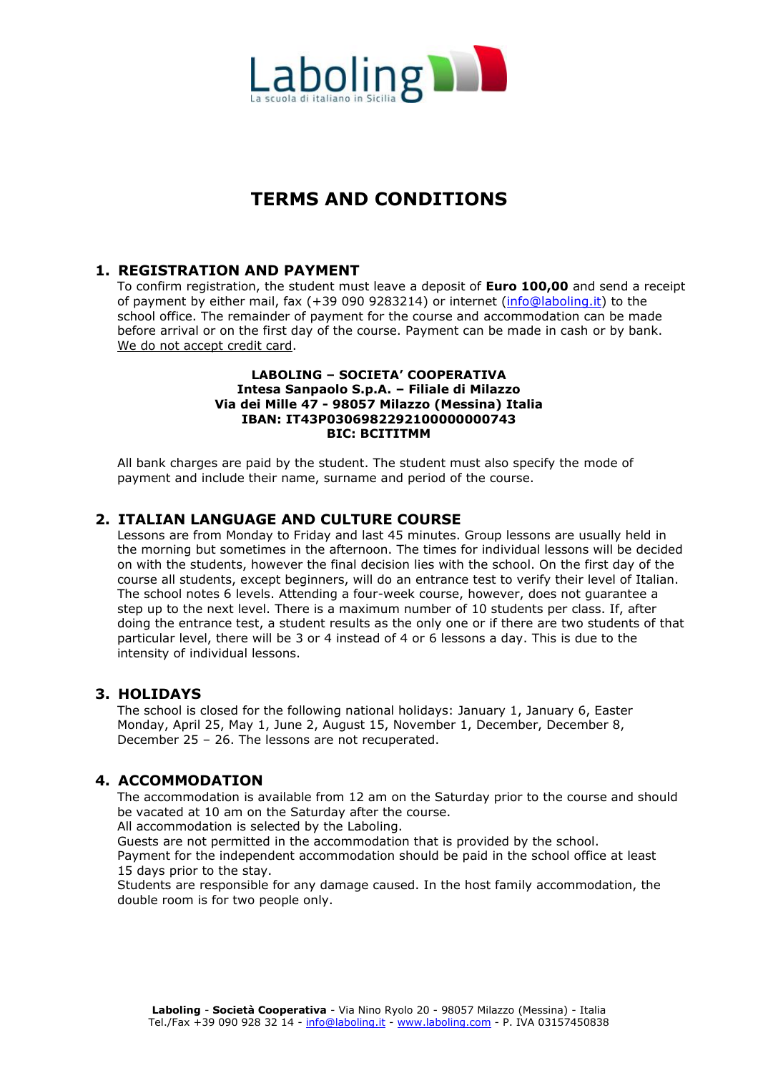

# **TERMS AND CONDITIONS**

## **1. REGISTRATION AND PAYMENT**

To confirm registration, the student must leave a deposit of **Euro 100,00** and send a receipt of payment by either mail, fax (+39 090 9283214) or internet [\(info@laboling.it\)](mailto:info@laboling.it) to the school office. The remainder of payment for the course and accommodation can be made before arrival or on the first day of the course. Payment can be made in cash or by bank. We do not accept credit card.

#### **LABOLING – SOCIETA' COOPERATIVA Intesa Sanpaolo S.p.A. – Filiale di Milazzo Via dei Mille 47 - 98057 Milazzo (Messina) Italia IBAN: IT43P0306982292100000000743 BIC: BCITITMM**

All bank charges are paid by the student. The student must also specify the mode of payment and include their name, surname and period of the course.

#### **2. ITALIAN LANGUAGE AND CULTURE COURSE**

Lessons are from Monday to Friday and last 45 minutes. Group lessons are usually held in the morning but sometimes in the afternoon. The times for individual lessons will be decided on with the students, however the final decision lies with the school. On the first day of the course all students, except beginners, will do an entrance test to verify their level of Italian. The school notes 6 levels. Attending a four-week course, however, does not guarantee a step up to the next level. There is a maximum number of 10 students per class. If, after doing the entrance test, a student results as the only one or if there are two students of that particular level, there will be 3 or 4 instead of 4 or 6 lessons a day. This is due to the intensity of individual lessons.

### **3. HOLIDAYS**

The school is closed for the following national holidays: January 1, January 6, Easter Monday, April 25, May 1, June 2, August 15, November 1, December, December 8, December 25 – 26. The lessons are not recuperated.

## **4. ACCOMMODATION**

The accommodation is available from 12 am on the Saturday prior to the course and should be vacated at 10 am on the Saturday after the course.

All accommodation is selected by the Laboling.

Guests are not permitted in the accommodation that is provided by the school.

Payment for the independent accommodation should be paid in the school office at least 15 days prior to the stay.

Students are responsible for any damage caused. In the host family accommodation, the double room is for two people only.